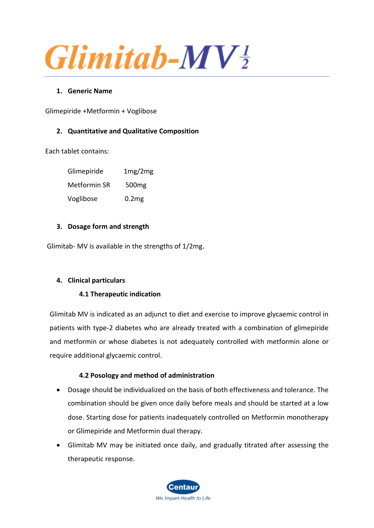$G$ *limitab-MV* $\frac{1}{2}$ 

## **1. Generic Name**

Glimepiride +Metformin + Voglibose

# **2. Quantitative and Qualitative Composition**

Each tablet contains:

Glimepiride 1mg/2mg Metformin SR 500mg Voglibose 0.2mg

### **3. Dosage form and strength**

Glimitab- MV is available in the strengths of 1/2mg.

# **4. Clinical particulars**

### **4.1 Therapeutic indication**

Glimitab MV is indicated as an adjunct to diet and exercise to improve glycaemic control in patients with type-2 diabetes who are already treated with a combination of glimepiride and metformin or whose diabetes is not adequately controlled with metformin alone or require additional glycaemic control.

### **4.2 Posology and method of administration**

- Dosage should be individualized on the basis of both effectiveness and tolerance. The combination should be given once daily before meals and should be started at a low dose. Starting dose for patients inadequately controlled on Metformin monotherapy or Glimepiride and Metformin dual therapy.
- Glimitab MV may be initiated once daily, and gradually titrated after assessing the therapeutic response.

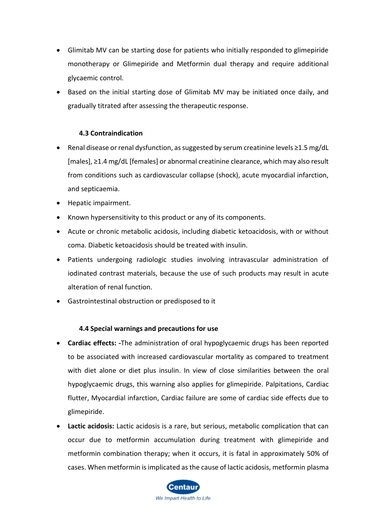- Glimitab MV can be starting dose for patients who initially responded to glimepiride monotherapy or Glimepiride and Metformin dual therapy and require additional glycaemic control.
- Based on the initial starting dose of Glimitab MV may be initiated once daily, and gradually titrated after assessing the therapeutic response.

## **4.3 Contraindication**

- Renal disease or renal dysfunction, as suggested by serum creatinine levels ≥1.5 mg/dL [males], ≥1.4 mg/dL [females] or abnormal creatinine clearance, which may also result from conditions such as cardiovascular collapse (shock), acute myocardial infarction, and septicaemia.
- Hepatic impairment.
- Known hypersensitivity to this product or any of its components.
- Acute or chronic metabolic acidosis, including diabetic ketoacidosis, with or without coma. Diabetic ketoacidosis should be treated with insulin.
- Patients undergoing radiologic studies involving intravascular administration of iodinated contrast materials, because the use of such products may result in acute alteration of renal function.
- Gastrointestinal obstruction or predisposed to it

### **4.4 Special warnings and precautions for use**

- **Cardiac effects: -**The administration of oral hypoglycaemic drugs has been reported to be associated with increased cardiovascular mortality as compared to treatment with diet alone or diet plus insulin. In view of close similarities between the oral hypoglycaemic drugs, this warning also applies for glimepiride. Palpitations, Cardiac flutter, Myocardial infarction, Cardiac failure are some of cardiac side effects due to glimepiride.
- **Lactic acidosis:** Lactic acidosis is a rare, but serious, metabolic complication that can occur due to metformin accumulation during treatment with glimepiride and metformin combination therapy; when it occurs, it is fatal in approximately 50% of cases. When metformin is implicated as the cause of lactic acidosis, metformin plasma

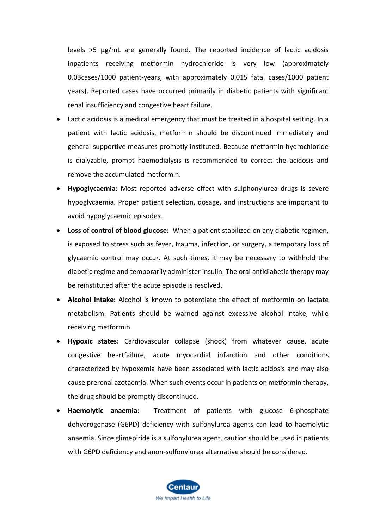levels >5 μg/mL are generally found. The reported incidence of lactic acidosis inpatients receiving metformin hydrochloride is very low (approximately 0.03cases/1000 patient-years, with approximately 0.015 fatal cases/1000 patient years). Reported cases have occurred primarily in diabetic patients with significant renal insufficiency and congestive heart failure.

- Lactic acidosis is a medical emergency that must be treated in a hospital setting. In a patient with lactic acidosis, metformin should be discontinued immediately and general supportive measures promptly instituted. Because metformin hydrochloride is dialyzable, prompt haemodialysis is recommended to correct the acidosis and remove the accumulated metformin.
- **Hypoglycaemia:** Most reported adverse effect with sulphonylurea drugs is severe hypoglycaemia. Proper patient selection, dosage, and instructions are important to avoid hypoglycaemic episodes.
- **Loss of control of blood glucose:** When a patient stabilized on any diabetic regimen, is exposed to stress such as fever, trauma, infection, or surgery, a temporary loss of glycaemic control may occur. At such times, it may be necessary to withhold the diabetic regime and temporarily administer insulin. The oral antidiabetic therapy may be reinstituted after the acute episode is resolved.
- **Alcohol intake:** Alcohol is known to potentiate the effect of metformin on lactate metabolism. Patients should be warned against excessive alcohol intake, while receiving metformin.
- **Hypoxic states:** Cardiovascular collapse (shock) from whatever cause, acute congestive heartfailure, acute myocardial infarction and other conditions characterized by hypoxemia have been associated with lactic acidosis and may also cause prerenal azotaemia. When such events occur in patients on metformin therapy, the drug should be promptly discontinued.
- **Haemolytic anaemia:** Treatment of patients with glucose 6-phosphate dehydrogenase (G6PD) deficiency with sulfonylurea agents can lead to haemolytic anaemia. Since glimepiride is a sulfonylurea agent, caution should be used in patients with G6PD deficiency and anon-sulfonylurea alternative should be considered.

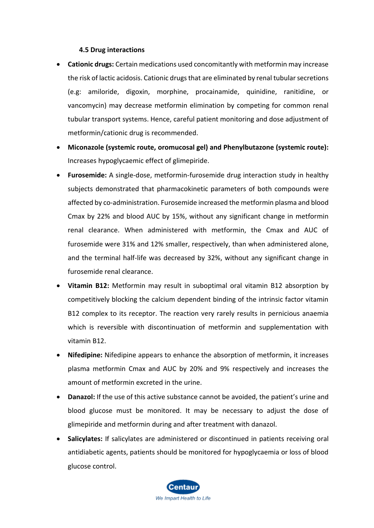### **4.5 Drug interactions**

- **Cationic drugs:** Certain medications used concomitantly with metformin may increase the risk of lactic acidosis. Cationic drugs that are eliminated by renal tubular secretions (e.g: amiloride, digoxin, morphine, procainamide, quinidine, ranitidine, or vancomycin) may decrease metformin elimination by competing for common renal tubular transport systems. Hence, careful patient monitoring and dose adjustment of metformin/cationic drug is recommended.
- **Miconazole (systemic route, oromucosal gel) and Phenylbutazone (systemic route):** Increases hypoglycaemic effect of glimepiride.
- **Furosemide:** A single-dose, metformin-furosemide drug interaction study in healthy subjects demonstrated that pharmacokinetic parameters of both compounds were affected by co-administration. Furosemide increased the metformin plasma and blood Cmax by 22% and blood AUC by 15%, without any significant change in metformin renal clearance. When administered with metformin, the Cmax and AUC of furosemide were 31% and 12% smaller, respectively, than when administered alone, and the terminal half-life was decreased by 32%, without any significant change in furosemide renal clearance.
- **Vitamin B12:** Metformin may result in suboptimal oral vitamin B12 absorption by competitively blocking the calcium dependent binding of the intrinsic factor vitamin B12 complex to its receptor. The reaction very rarely results in pernicious anaemia which is reversible with discontinuation of metformin and supplementation with vitamin B12.
- **Nifedipine:** Nifedipine appears to enhance the absorption of metformin, it increases plasma metformin Cmax and AUC by 20% and 9% respectively and increases the amount of metformin excreted in the urine.
- **Danazol:** If the use of this active substance cannot be avoided, the patient's urine and blood glucose must be monitored. It may be necessary to adjust the dose of glimepiride and metformin during and after treatment with danazol.
- **Salicylates:** If salicylates are administered or discontinued in patients receiving oral antidiabetic agents, patients should be monitored for hypoglycaemia or loss of blood glucose control.

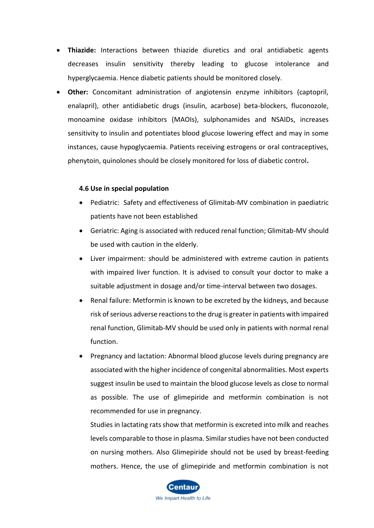- **Thiazide:** Interactions between thiazide diuretics and oral antidiabetic agents decreases insulin sensitivity thereby leading to glucose intolerance and hyperglycaemia. Hence diabetic patients should be monitored closely.
- **Other:** Concomitant administration of angiotensin enzyme inhibitors (captopril, enalapril), other antidiabetic drugs (insulin, acarbose) beta-blockers, fluconozole, monoamine oxidase inhibitors (MAOIs), sulphonamides and NSAIDs, increases sensitivity to insulin and potentiates blood glucose lowering effect and may in some instances, cause hypoglycaemia. Patients receiving estrogens or oral contraceptives, phenytoin, quinolones should be closely monitored for loss of diabetic control**.**

#### **4.6 Use in special population**

- Pediatric: Safety and effectiveness of Glimitab-MV combination in paediatric patients have not been established
- Geriatric: Aging is associated with reduced renal function; Glimitab-MV should be used with caution in the elderly.
- Liver impairment: should be administered with extreme caution in patients with impaired liver function. It is advised to consult your doctor to make a suitable adjustment in dosage and/or time-interval between two dosages.
- Renal failure: Metformin is known to be excreted by the kidneys, and because risk of serious adverse reactions to the drug is greater in patients with impaired renal function, Glimitab-MV should be used only in patients with normal renal function.
- Pregnancy and lactation: Abnormal blood glucose levels during pregnancy are associated with the higher incidence of congenital abnormalities. Most experts suggest insulin be used to maintain the blood glucose levels as close to normal as possible. The use of glimepiride and metformin combination is not recommended for use in pregnancy.

Studies in lactating rats show that metformin is excreted into milk and reaches levels comparable to those in plasma. Similar studies have not been conducted on nursing mothers. Also Glimepiride should not be used by breast-feeding mothers. Hence, the use of glimepiride and metformin combination is not

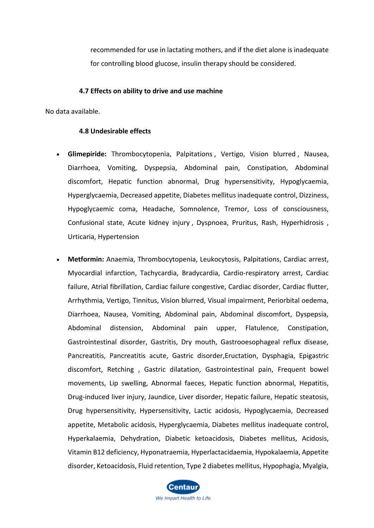recommended for use in lactating mothers, and if the diet alone is inadequate for controlling blood glucose, insulin therapy should be considered.

#### **4.7 Effects on ability to drive and use machine**

No data available.

#### **4.8 Undesirable effects**

- **Glimepiride:** Thrombocytopenia, Palpitations , Vertigo, Vision blurred , Nausea, Diarrhoea, Vomiting, Dyspepsia, Abdominal pain, Constipation, Abdominal discomfort, Hepatic function abnormal, Drug hypersensitivity, Hypoglycaemia, Hyperglycaemia, Decreased appetite, Diabetes mellitus inadequate control, Dizziness, Hypoglycaemic coma, Headache, Somnolence, Tremor, Loss of consciousness, Confusional state, Acute kidney injury , Dyspnoea, Pruritus, Rash, Hyperhidrosis , Urticaria, Hypertension
- **Metformin:** Anaemia, Thrombocytopenia, Leukocytosis, Palpitations, Cardiac arrest, Myocardial infarction, Tachycardia, Bradycardia, Cardio-respiratory arrest, Cardiac failure, Atrial fibrillation, Cardiac failure congestive, Cardiac disorder, Cardiac flutter, Arrhythmia, Vertigo, Tinnitus, Vision blurred, Visual impairment, Periorbital oedema, Diarrhoea, Nausea, Vomiting, Abdominal pain, Abdominal discomfort, Dyspepsia, Abdominal distension, Abdominal pain upper, Flatulence, Constipation, Gastrointestinal disorder, Gastritis, Dry mouth, Gastrooesophageal reflux disease, Pancreatitis, Pancreatitis acute, Gastric disorder,Eructation, Dysphagia, Epigastric discomfort, Retching , Gastric dilatation, Gastrointestinal pain, Frequent bowel movements, Lip swelling, Abnormal faeces, Hepatic function abnormal, Hepatitis, Drug-induced liver injury, Jaundice, Liver disorder, Hepatic failure, Hepatic steatosis, Drug hypersensitivity, Hypersensitivity, Lactic acidosis, Hypoglycaemia, Decreased appetite, Metabolic acidosis, Hyperglycaemia, Diabetes mellitus inadequate control, Hyperkalaemia, Dehydration, Diabetic ketoacidosis, Diabetes mellitus, Acidosis, Vitamin B12 deficiency, Hyponatraemia, Hyperlactacidaemia, Hypokalaemia, Appetite disorder, Ketoacidosis, Fluid retention, Type 2 diabetes mellitus, Hypophagia, Myalgia,

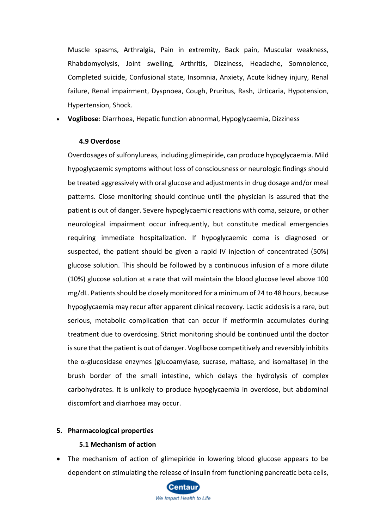Muscle spasms, Arthralgia, Pain in extremity, Back pain, Muscular weakness, Rhabdomyolysis, Joint swelling, Arthritis, Dizziness, Headache, Somnolence, Completed suicide, Confusional state, Insomnia, Anxiety, Acute kidney injury, Renal failure, Renal impairment, Dyspnoea, Cough, Pruritus, Rash, Urticaria, Hypotension, Hypertension, Shock.

• **Voglibose**: Diarrhoea, Hepatic function abnormal, Hypoglycaemia, Dizziness

#### **4.9 Overdose**

Overdosages of sulfonylureas, including glimepiride, can produce hypoglycaemia. Mild hypoglycaemic symptoms without loss of consciousness or neurologic findings should be treated aggressively with oral glucose and adjustments in drug dosage and/or meal patterns. Close monitoring should continue until the physician is assured that the patient is out of danger. Severe hypoglycaemic reactions with coma, seizure, or other neurological impairment occur infrequently, but constitute medical emergencies requiring immediate hospitalization. If hypoglycaemic coma is diagnosed or suspected, the patient should be given a rapid IV injection of concentrated (50%) glucose solution. This should be followed by a continuous infusion of a more dilute (10%) glucose solution at a rate that will maintain the blood glucose level above 100 mg/dL. Patients should be closely monitored for a minimum of 24 to 48 hours, because hypoglycaemia may recur after apparent clinical recovery. Lactic acidosis is a rare, but serious, metabolic complication that can occur if metformin accumulates during treatment due to overdosing. Strict monitoring should be continued until the doctor is sure that the patient is out of danger. Voglibose competitively and reversibly inhibits the α-glucosidase enzymes (glucoamylase, sucrase, maltase, and isomaltase) in the brush border of the small intestine, which delays the hydrolysis of complex carbohydrates. It is unlikely to produce hypoglycaemia in overdose, but abdominal discomfort and diarrhoea may occur.

#### **5. Pharmacological properties**

#### **5.1 Mechanism of action**

• The mechanism of action of glimepiride in lowering blood glucose appears to be dependent on stimulating the release of insulin from functioning pancreatic beta cells,

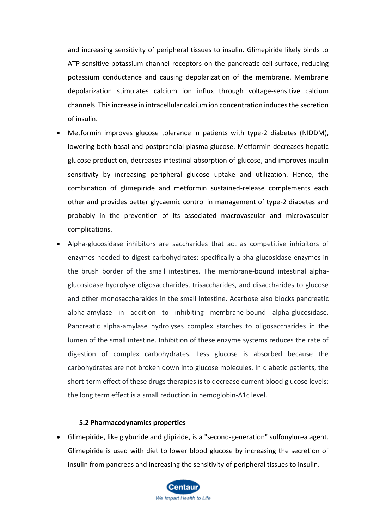and increasing sensitivity of peripheral tissues to insulin. Glimepiride likely binds to ATP-sensitive potassium channel receptors on the pancreatic cell surface, reducing potassium conductance and causing depolarization of the membrane. Membrane depolarization stimulates calcium ion influx through voltage-sensitive calcium channels. This increase in intracellular calcium ion concentration induces the secretion of insulin.

- Metformin improves glucose tolerance in patients with type-2 diabetes (NIDDM), lowering both basal and postprandial plasma glucose. Metformin decreases hepatic glucose production, decreases intestinal absorption of glucose, and improves insulin sensitivity by increasing peripheral glucose uptake and utilization. Hence, the combination of glimepiride and metformin sustained-release complements each other and provides better glycaemic control in management of type-2 diabetes and probably in the prevention of its associated macrovascular and microvascular complications.
- Alpha-glucosidase inhibitors are saccharides that act as competitive inhibitors of enzymes needed to digest carbohydrates: specifically alpha-glucosidase enzymes in the brush border of the small intestines. The membrane-bound intestinal alphaglucosidase hydrolyse oligosaccharides, trisaccharides, and disaccharides to glucose and other monosaccharaides in the small intestine. Acarbose also blocks pancreatic alpha-amylase in addition to inhibiting membrane-bound alpha-glucosidase. Pancreatic alpha-amylase hydrolyses complex starches to oligosaccharides in the lumen of the small intestine. Inhibition of these enzyme systems reduces the rate of digestion of complex carbohydrates. Less glucose is absorbed because the carbohydrates are not broken down into glucose molecules. In diabetic patients, the short-term effect of these drugs therapies is to decrease current blood glucose levels: the long term effect is a small reduction in hemoglobin-A1c level.

#### **5.2 Pharmacodynamics properties**

• Glimepiride, like glyburide and glipizide, is a "second-generation" sulfonylurea agent. Glimepiride is used with diet to lower blood glucose by increasing the secretion of insulin from pancreas and increasing the sensitivity of peripheral tissues to insulin.

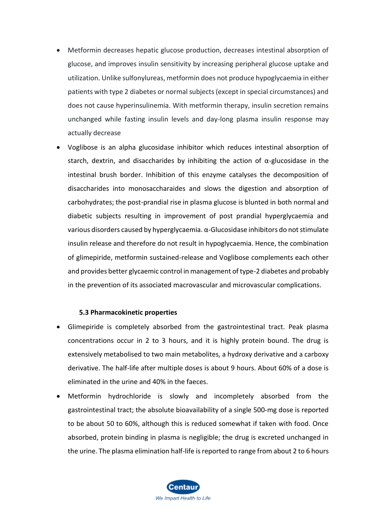- Metformin decreases hepatic glucose production, decreases intestinal absorption of glucose, and improves insulin sensitivity by increasing peripheral glucose uptake and utilization. Unlike sulfonylureas, metformin does not produce hypoglycaemia in either patients with type 2 diabetes or normal subjects (except in special circumstances) and does not cause hyperinsulinemia. With metformin therapy, insulin secretion remains unchanged while fasting insulin levels and day-long plasma insulin response may actually decrease
- Voglibose is an alpha glucosidase inhibitor which reduces intestinal absorption of starch, dextrin, and disaccharides by inhibiting the action of  $\alpha$ -glucosidase in the intestinal brush border. Inhibition of this enzyme catalyses the decomposition of disaccharides into monosaccharaides and slows the digestion and absorption of carbohydrates; the post-prandial rise in plasma glucose is blunted in both normal and diabetic subjects resulting in improvement of post prandial hyperglycaemia and various disorders caused by hyperglycaemia. α-Glucosidase inhibitors do not stimulate insulin release and therefore do not result in hypoglycaemia. Hence, the combination of glimepiride, metformin sustained-release and Voglibose complements each other and provides better glycaemic control in management of type-2 diabetes and probably in the prevention of its associated macrovascular and microvascular complications.

### **5.3 Pharmacokinetic properties**

- Glimepiride is completely absorbed from the gastrointestinal tract. Peak plasma concentrations occur in 2 to 3 hours, and it is highly protein bound. The drug is extensively metabolised to two main metabolites, a hydroxy derivative and a carboxy derivative. The half-life after multiple doses is about 9 hours. About 60% of a dose is eliminated in the urine and 40% in the faeces.
- Metformin hydrochloride is slowly and incompletely absorbed from the gastrointestinal tract; the absolute bioavailability of a single 500-mg dose is reported to be about 50 to 60%, although this is reduced somewhat if taken with food. Once absorbed, protein binding in plasma is negligible; the drug is excreted unchanged in the urine. The plasma elimination half-life is reported to range from about 2 to 6 hours

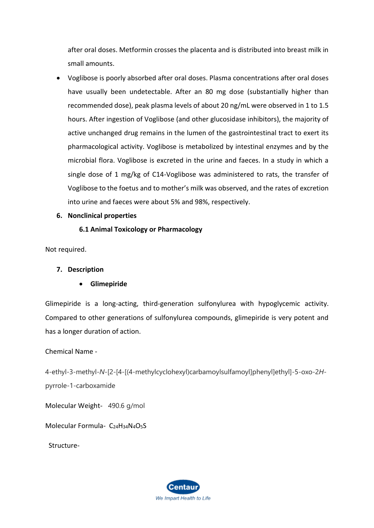after oral doses. Metformin crosses the placenta and is distributed into breast milk in small amounts.

- Voglibose is poorly absorbed after oral doses. Plasma concentrations after oral doses have usually been undetectable. After an 80 mg dose (substantially higher than recommended dose), peak plasma levels of about 20 ng/mL were observed in 1 to 1.5 hours. After ingestion of Voglibose (and other glucosidase inhibitors), the majority of active unchanged drug remains in the lumen of the gastrointestinal tract to exert its pharmacological activity. Voglibose is metabolized by intestinal enzymes and by the microbial flora. Voglibose is excreted in the urine and faeces. In a study in which a single dose of 1 mg/kg of C14-Voglibose was administered to rats, the transfer of Voglibose to the foetus and to mother's milk was observed, and the rates of excretion into urine and faeces were about 5% and 98%, respectively.
- **6. Nonclinical properties**

## **6.1 Animal Toxicology or Pharmacology**

Not required.

### **7. Description**

• **Glimepiride**

Glimepiride is a long-acting, third-generation sulfonylurea with hypoglycemic activity. Compared to other generations of sulfonylurea compounds, glimepiride is very potent and has a longer duration of action.

### Chemical Name -

4-ethyl-3-methyl-*N*-[2-[4-[(4-methylcyclohexyl)carbamoylsulfamoyl]phenyl]ethyl]-5-oxo-2*H*pyrrole-1-carboxamide

Molecular Weight- 490.6 g/mol

Molecular Formula- C<sub>24</sub>H<sub>34</sub>N<sub>4</sub>O<sub>5</sub>S

Structure-

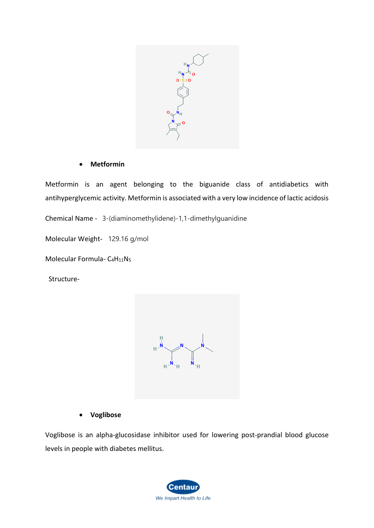

### • **Metformin**

Metformin is an agent belonging to the biguanide class of antidiabetics with antihyperglycemic activity. Metformin is associated with a very low incidence of lactic acidosis

Chemical Name - 3-(diaminomethylidene)-1,1-dimethylguanidine

Molecular Weight- 129.16 g/mol

Molecular Formula- C<sub>4</sub>H<sub>11</sub>N<sub>5</sub>

Structure-



• **Voglibose**

Voglibose is an alpha-glucosidase inhibitor used for lowering post-prandial blood glucose levels in people with diabetes mellitus.

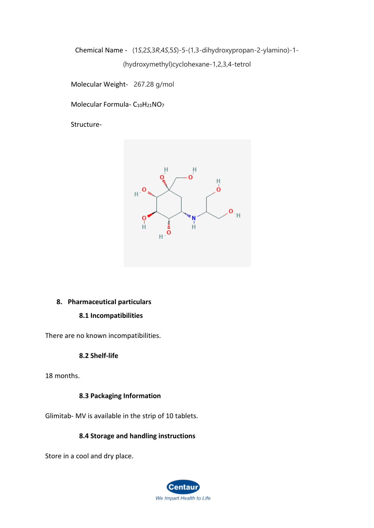Chemical Name - (1*S*,2*S*,3*R*,4*S*,5*S*)-5-(1,3-dihydroxypropan-2-ylamino)-1-

(hydroxymethyl)cyclohexane-1,2,3,4-tetrol

Molecular Weight- 267.28 g/mol

Molecular Formula- C<sub>10</sub>H<sub>21</sub>NO<sub>7</sub>

Structure-



# **8. Pharmaceutical particulars**

# **8.1 Incompatibilities**

There are no known incompatibilities.

# **8.2 Shelf-life**

18 months.

# **8.3 Packaging Information**

Glimitab- MV is available in the strip of 10 tablets.

# **8.4 Storage and handling instructions**

Store in a cool and dry place.

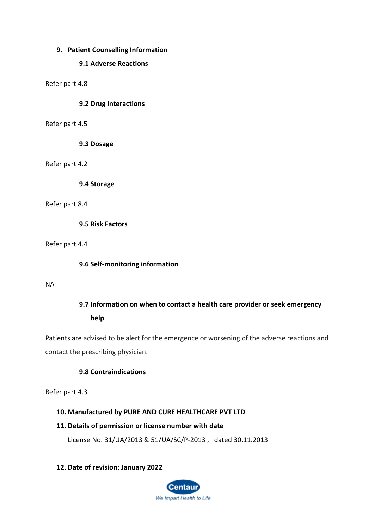## **9. Patient Counselling Information**

### **9.1 Adverse Reactions**

Refer part 4.8

## **9.2 Drug Interactions**

Refer part 4.5

**9.3 Dosage**

### Refer part 4.2

**9.4 Storage**

### Refer part 8.4

**9.5 Risk Factors**

Refer part 4.4

### **9.6 Self-monitoring information**

#### NA

# **9.7 Information on when to contact a health care provider or seek emergency**

**help**

Patients are advised to be alert for the emergence or worsening of the adverse reactions and contact the prescribing physician.

### **9.8 Contraindications**

Refer part 4.3

### **10. Manufactured by PURE AND CURE HEALTHCARE PVT LTD**

### **11. Details of permission or license number with date**

License No. 31/UA/2013 & 51/UA/SC/P-2013 , dated 30.11.2013

### **12. Date of revision: January 2022**